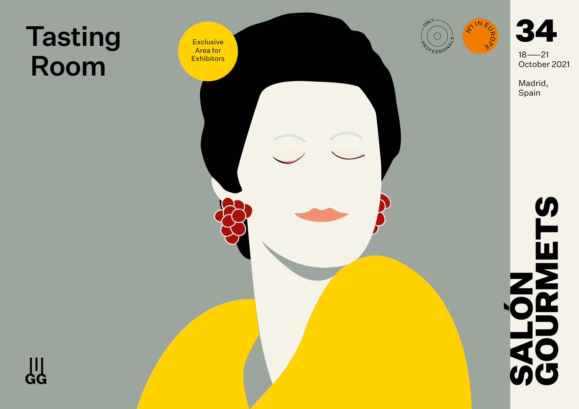## Tasting

 $\frac{11}{66}$ 



34

October 2021

Madrid, Spain

# SURMETS **70**